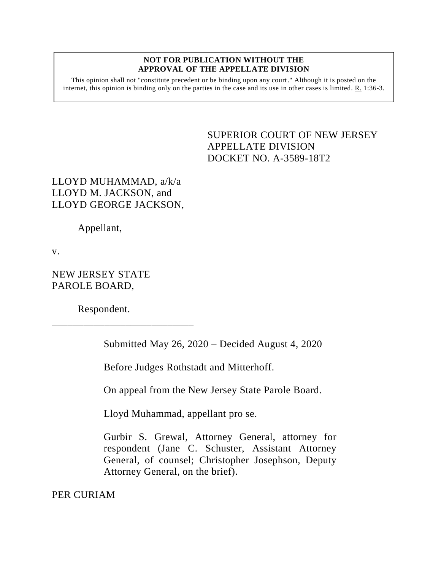## **NOT FOR PUBLICATION WITHOUT THE APPROVAL OF THE APPELLATE DIVISION**

This opinion shall not "constitute precedent or be binding upon any court." Although it is posted on the internet, this opinion is binding only on the parties in the case and its use in other cases is limited.  $R_1$  1:36-3.

> <span id="page-0-0"></span>SUPERIOR COURT OF NEW JERSEY APPELLATE DIVISION DOCKET NO. A-3589-18T2

## LLOYD MUHAMMAD, a/k/a LLOYD M. JACKSON, and LLOYD GEORGE JACKSON,

Appellant,

v.

NEW JERSEY STATE PAROLE BOARD,

Respondent.

\_\_\_\_\_\_\_\_\_\_\_\_\_\_\_\_\_\_\_\_\_\_\_\_\_\_\_

Submitted May 26, 2020 – Decided August 4, 2020

Before Judges Rothstadt and Mitterhoff.

On appeal from the New Jersey State Parole Board.

Lloyd Muhammad, appellant pro se.

Gurbir S. Grewal, Attorney General, attorney for respondent (Jane C. Schuster, Assistant Attorney General, of counsel; Christopher Josephson, Deputy Attorney General, on the brief).

PER CURIAM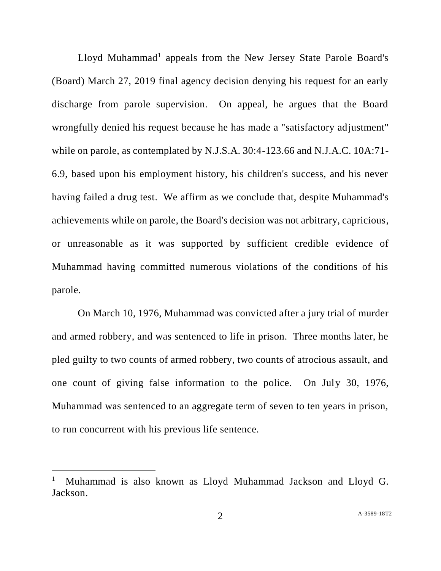Lloyd Muhammad<sup>1</sup> appeals from the New Jersey State Parole Board's (Board) March 27, 2019 final agency decision denying his request for an early discharge from parole supervision. On appeal, he argues that the Board wrongfully denied his request because he has made a "satisfactory adjustment" while on parole, as contemplated by N.J.S.A. 30:4-123.66 and N.J.A.C. 10A:71- 6.9, based upon his employment history, his children's success, and his never having failed a drug test. We affirm as we conclude that, despite Muhammad's achievements while on parole, the Board's decision was not arbitrary, capricious, or unreasonable as it was supported by sufficient credible evidence of Muhammad having committed numerous violations of the conditions of his parole.

On March 10, 1976, Muhammad was convicted after a jury trial of murder and armed robbery, and was sentenced to life in prison. Three months later, he pled guilty to two counts of armed robbery, two counts of atrocious assault, and one count of giving false information to the police. On July 30, 1976, Muhammad was sentenced to an aggregate term of seven to ten years in prison, to run concurrent with his previous life sentence.

l

<sup>1</sup> Muhammad is also known as Lloyd Muhammad Jackson and Lloyd G. Jackson.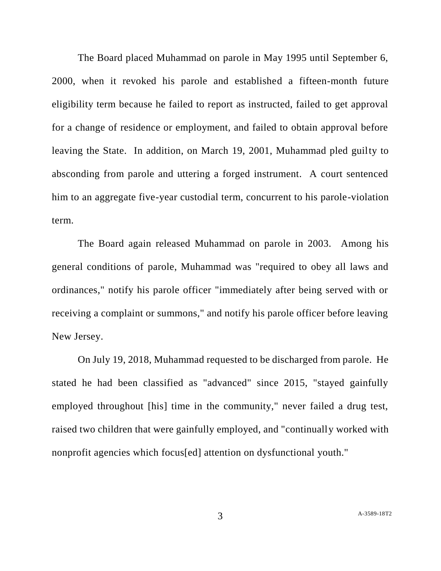The Board placed Muhammad on parole in May 1995 until September 6, 2000, when it revoked his parole and established a fifteen-month future eligibility term because he failed to report as instructed, failed to get approval for a change of residence or employment, and failed to obtain approval before leaving the State. In addition, on March 19, 2001, Muhammad pled guilty to absconding from parole and uttering a forged instrument. A court sentenced him to an aggregate five-year custodial term, concurrent to his parole-violation term.

The Board again released Muhammad on parole in 2003. Among his general conditions of parole, Muhammad was "required to obey all laws and ordinances," notify his parole officer "immediately after being served with or receiving a complaint or summons," and notify his parole officer before leaving New Jersey.

On July 19, 2018, Muhammad requested to be discharged from parole. He stated he had been classified as "advanced" since 2015, "stayed gainfully employed throughout [his] time in the community," never failed a drug test, raised two children that were gainfully employed, and "continually worked with nonprofit agencies which focus[ed] attention on dysfunctional youth."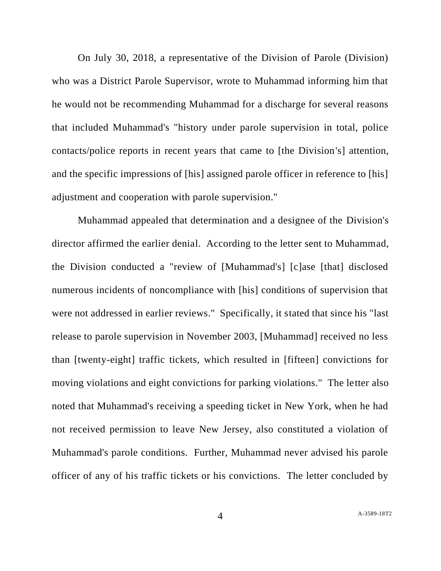On July 30, 2018, a representative of the Division of Parole (Division) who was a District Parole Supervisor, wrote to Muhammad informing him that he would not be recommending Muhammad for a discharge for several reasons that included Muhammad's "history under parole supervision in total, police contacts/police reports in recent years that came to [the Division's] attention, and the specific impressions of [his] assigned parole officer in reference to [his] adjustment and cooperation with parole supervision."

Muhammad appealed that determination and a designee of the Division's director affirmed the earlier denial. According to the letter sent to Muhammad, the Division conducted a "review of [Muhammad's] [c]ase [that] disclosed numerous incidents of noncompliance with [his] conditions of supervision that were not addressed in earlier reviews." Specifically, it stated that since his "last release to parole supervision in November 2003, [Muhammad] received no less than [twenty-eight] traffic tickets, which resulted in [fifteen] convictions for moving violations and eight convictions for parking violations." The letter also noted that Muhammad's receiving a speeding ticket in New York, when he had not received permission to leave New Jersey, also constituted a violation of Muhammad's parole conditions. Further, Muhammad never advised his parole officer of any of his traffic tickets or his convictions. The letter concluded by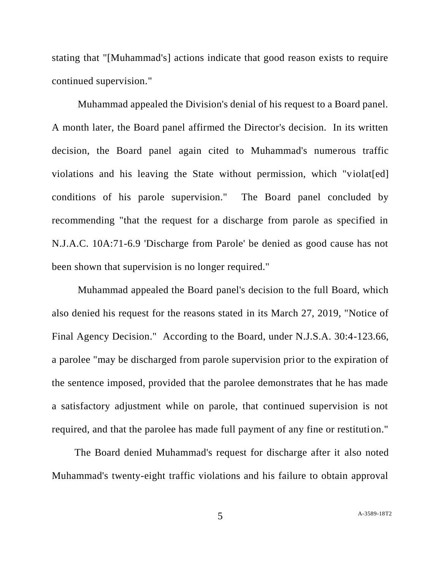stating that "[Muhammad's] actions indicate that good reason exists to require continued supervision."

Muhammad appealed the Division's denial of his request to a Board panel. A month later, the Board panel affirmed the Director's decision. In its written decision, the Board panel again cited to Muhammad's numerous traffic violations and his leaving the State without permission, which "violat[ed] conditions of his parole supervision." The Board panel concluded by recommending "that the request for a discharge from parole as specified in N.J.A.C. 10A:71-6.9 'Discharge from Parole' be denied as good cause has not been shown that supervision is no longer required."

Muhammad appealed the Board panel's decision to the full Board, which also denied his request for the reasons stated in its March 27, 2019, "Notice of Final Agency Decision." According to the Board, under N.J.S.A. 30:4-123.66, a parolee "may be discharged from parole supervision prior to the expiration of the sentence imposed, provided that the parolee demonstrates that he has made a satisfactory adjustment while on parole, that continued supervision is not required, and that the parolee has made full payment of any fine or restitution."

The Board denied Muhammad's request for discharge after it also noted Muhammad's twenty-eight traffic violations and his failure to obtain approval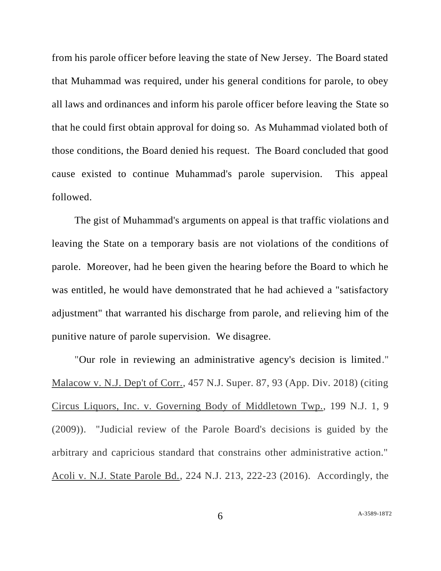from his parole officer before leaving the state of New Jersey. The Board stated that Muhammad was required, under his general conditions for parole, to obey all laws and ordinances and inform his parole officer before leaving the State so that he could first obtain approval for doing so. As Muhammad violated both of those conditions, the Board denied his request. The Board concluded that good cause existed to continue Muhammad's parole supervision. This appeal followed.

The gist of Muhammad's arguments on appeal is that traffic violations and leaving the State on a temporary basis are not violations of the conditions of parole. Moreover, had he been given the hearing before the Board to which he was entitled, he would have demonstrated that he had achieved a "satisfactory adjustment" that warranted his discharge from parole, and relieving him of the punitive nature of parole supervision. We disagree.

"Our role in reviewing an administrative agency's decision is limited." Malacow v. N.J. Dep't of Corr., 457 N.J. Super. 87, 93 (App. Div. 2018) (citing Circus Liquors, Inc. v. Governing Body of Middletown Twp., 199 N.J. 1, 9 (2009)). "Judicial review of the Parole Board's decisions is guided by the arbitrary and capricious standard that constrains other administrative action." Acoli v. N.J. State Parole Bd., 224 N.J. 213, 222-23 (2016). Accordingly, the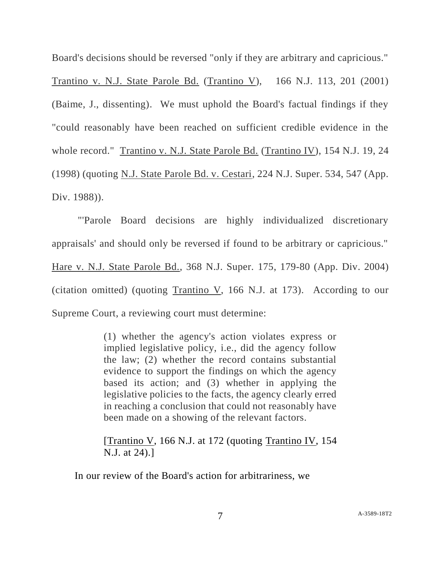Board's decisions should be reversed "only if they are arbitrary and capricious."

Trantino v. N.J. State Parole Bd. (Trantino V), 166 N.J. 113, 201 (2001) (Baime, J., dissenting). We must uphold the Board's factual findings if they "could reasonably have been reached on sufficient credible evidence in the whole record." Trantino v. N.J. State Parole Bd. (Trantino IV), 154 N.J. 19, 24 (1998) (quoting N.J. State Parole Bd. v. Cestari, 224 N.J. Super. 534, 547 (App. Div. 1988)).

"'Parole Board decisions are highly individualized discretionary appraisals' and should only be reversed if found to be arbitrary or capricious." Hare v. N.J. State Parole Bd., 368 N.J. Super. 175, 179-80 (App. Div. 2004) (citation omitted) (quoting Trantino V, 166 N.J. at 173). According to our Supreme Court, a reviewing court must determine:

> (1) whether the agency's action violates express or implied legislative policy, i.e., did the agency follow the law; (2) whether the record contains substantial evidence to support the findings on which the agency based its action; and (3) whether in applying the legislative policies to the facts, the agency clearly erred in reaching a conclusion that could not reasonably have been made on a showing of the relevant factors.

> [Trantino V, 166 N.J. at 172 (quoting Trantino IV, 154 N.J. at 24).]

In our review of the Board's action for arbitrariness, we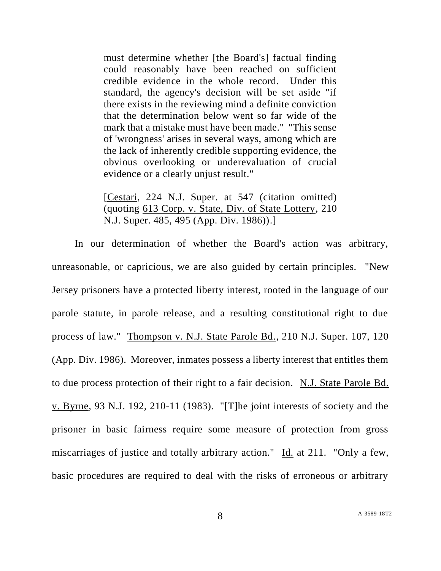must determine whether [the Board's] factual finding could reasonably have been reached on sufficient credible evidence in the whole record. Under this standard, the agency's decision will be set aside "if there exists in the reviewing mind a definite conviction that the determination below went so far wide of the mark that a mistake must have been made." "This sense of 'wrongness' arises in several ways, among which are the lack of inherently credible supporting evidence, the obvious overlooking or underevaluation of crucial evidence or a clearly unjust result."

[Cestari, 224 N.J. Super. at 547 (citation omitted) (quoting 613 Corp. v. State, Div. of State Lottery, 210 N.J. Super. 485, 495 (App. Div. 1986)).]

In our determination of whether the Board's action was arbitrary, unreasonable, or capricious, we are also guided by certain principles. "New Jersey prisoners have a protected liberty interest, rooted in the language of our parole statute, in parole release, and a resulting constitutional right to due process of law." Thompson v. N.J. State Parole Bd., 210 N.J. Super. 107, 120 (App. Div. 1986). Moreover, inmates possess a liberty interest that entitles them to due process protection of their right to a fair decision. N.J. State Parole Bd. v. Byrne, 93 N.J. 192, 210-11 (1983). "[T]he joint interests of society and the prisoner in basic fairness require some measure of protection from gross miscarriages of justice and totally arbitrary action." Id. at 211. "Only a few, basic procedures are required to deal with the risks of erroneous or arbitrary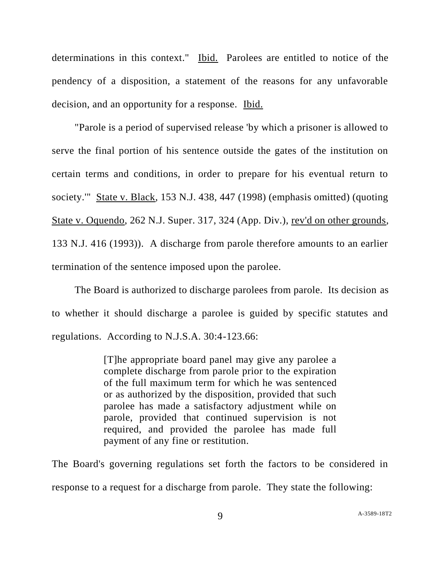determinations in this context." Ibid. Parolees are entitled to notice of the pendency of a disposition, a statement of the reasons for any unfavorable decision, and an opportunity for a response. Ibid.

"Parole is a period of supervised release 'by which a prisoner is allowed to serve the final portion of his sentence outside the gates of the institution on certain terms and conditions, in order to prepare for his eventual return to society.'" State v. Black, 153 N.J. 438, 447 (1998) (emphasis omitted) (quoting State v. Oquendo, 262 N.J. Super. 317, 324 (App. Div.), rev'd on other grounds, 133 N.J. 416 (1993)). A discharge from parole therefore amounts to an earlier termination of the sentence imposed upon the parolee.

The Board is authorized to discharge parolees from parole. Its decision as to whether it should discharge a parolee is guided by specific statutes and regulations. According to N.J.S.A. 30:4-123.66:

> [T]he appropriate board panel may give any parolee a complete discharge from parole prior to the expiration of the full maximum term for which he was sentenced or as authorized by the disposition, provided that such parolee has made a satisfactory adjustment while on parole, provided that continued supervision is not required, and provided the parolee has made full payment of any fine or restitution.

The Board's governing regulations set forth the factors to be considered in response to a request for a discharge from parole. They state the following: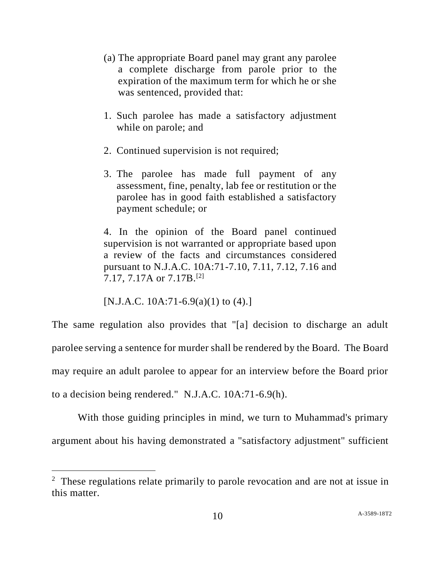- (a) The appropriate Board panel may grant any parolee a complete discharge from parole prior to the expiration of the maximum term for which he or she was sentenced, provided that:
- 1. Such parolee has made a satisfactory adjustment while on parole; and
- 2. Continued supervision is not required;
- 3. The parolee has made full payment of any assessment, fine, penalty, lab fee or restitution or the parolee has in good faith established a satisfactory payment schedule; or

4. In the opinion of the Board panel continued supervision is not warranted or appropriate based upon a review of the facts and circumstances considered pursuant to N.J.A.C. 10A:71-7.10, 7.11, 7.12, 7.16 and 7.17, 7.17A or 7.17B.[2]

[N.J.A.C. 10A:71-6.9(a)(1) to  $(4)$ .]

l

The same regulation also provides that "[a] decision to discharge an adult parolee serving a sentence for murder shall be rendered by the Board. The Board may require an adult parolee to appear for an interview before the Board prior to a decision being rendered." N.J.A.C. 10A:71-6.9(h).

With those guiding principles in mind, we turn to Muhammad's primary argument about his having demonstrated a "satisfactory adjustment" sufficient

<sup>&</sup>lt;sup>2</sup> These regulations relate primarily to parole revocation and are not at issue in this matter.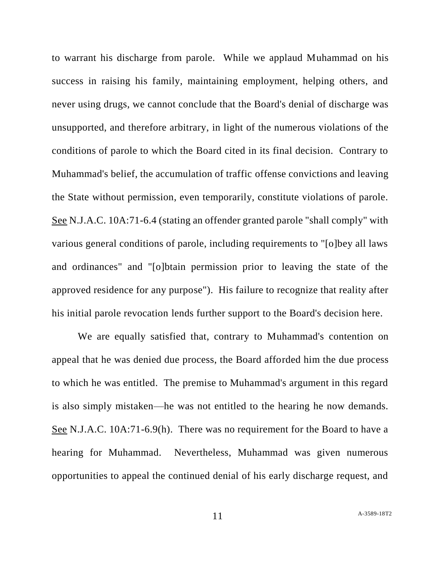to warrant his discharge from parole. While we applaud Muhammad on his success in raising his family, maintaining employment, helping others, and never using drugs, we cannot conclude that the Board's denial of discharge was unsupported, and therefore arbitrary, in light of the numerous violations of the conditions of parole to which the Board cited in its final decision. Contrary to Muhammad's belief, the accumulation of traffic offense convictions and leaving the State without permission, even temporarily, constitute violations of parole. See N.J.A.C. 10A:71-6.4 (stating an offender granted parole "shall comply" with various general conditions of parole, including requirements to "[o]bey all laws and ordinances" and "[o]btain permission prior to leaving the state of the approved residence for any purpose"). His failure to recognize that reality after his initial parole revocation lends further support to the Board's decision here.

We are equally satisfied that, contrary to Muhammad's contention on appeal that he was denied due process, the Board afforded him the due process to which he was entitled. The premise to Muhammad's argument in this regard is also simply mistaken—he was not entitled to the hearing he now demands. See N.J.A.C. 10A:71-6.9(h). There was no requirement for the Board to have a hearing for Muhammad. Nevertheless, Muhammad was given numerous opportunities to appeal the continued denial of his early discharge request, and